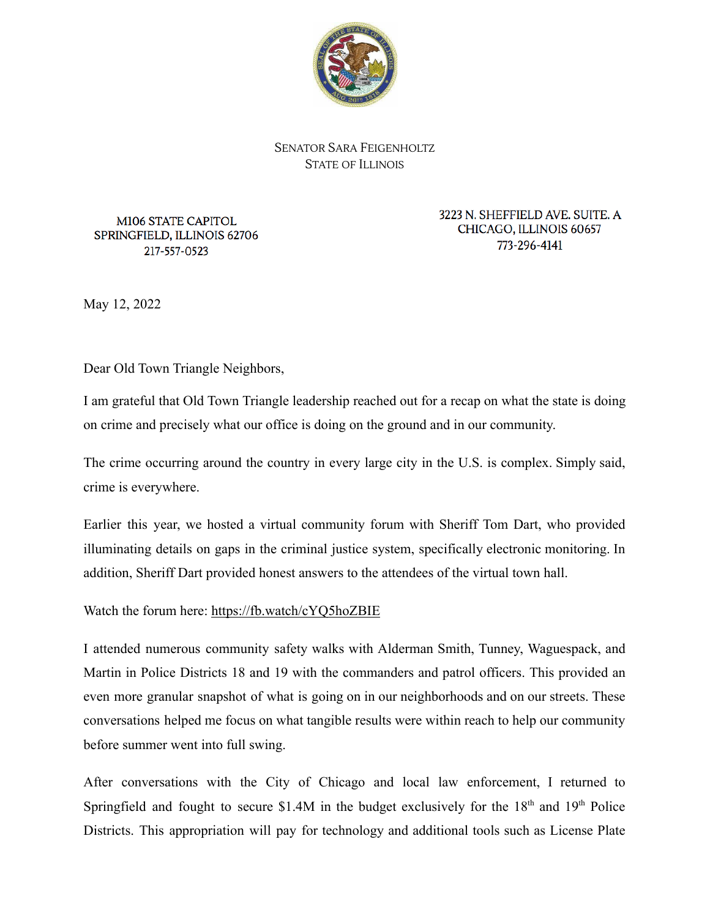

SENATOR SARA FEIGENHOLTZ STATE OF ILLINOIS

M106 STATE CAPITOL SPRINGFIELD, ILLINOIS 62706 217-557-0523

3223 N. SHEFFIELD AVE. SUITE. A CHICAGO, ILLINOIS 60657 773-296-4141

May 12, 2022

Dear Old Town Triangle Neighbors,

I am grateful that Old Town Triangle leadership reached out for a recap on what the state is doing on crime and precisely what our office is doing on the ground and in our community.

The crime occurring around the country in every large city in the U.S. is complex. Simply said, crime is everywhere.

Earlier this year, we hosted a virtual community forum with Sheriff Tom Dart, who provided illuminating details on gaps in the criminal justice system, specifically electronic monitoring. In addition, Sheriff Dart provided honest answers to the attendees of the virtual town hall.

Watch the forum here: https://fb.watch/cYQ5hoZBIE

I attended numerous community safety walks with Alderman Smith, Tunney, Waguespack, and Martin in Police Districts 18 and 19 with the commanders and patrol officers. This provided an even more granular snapshot of what is going on in our neighborhoods and on our streets. These conversations helped me focus on what tangible results were within reach to help our community before summer went into full swing.

After conversations with the City of Chicago and local law enforcement, I returned to Springfield and fought to secure \$1.4M in the budget exclusively for the  $18<sup>th</sup>$  and  $19<sup>th</sup>$  Police Districts. This appropriation will pay for technology and additional tools such as License Plate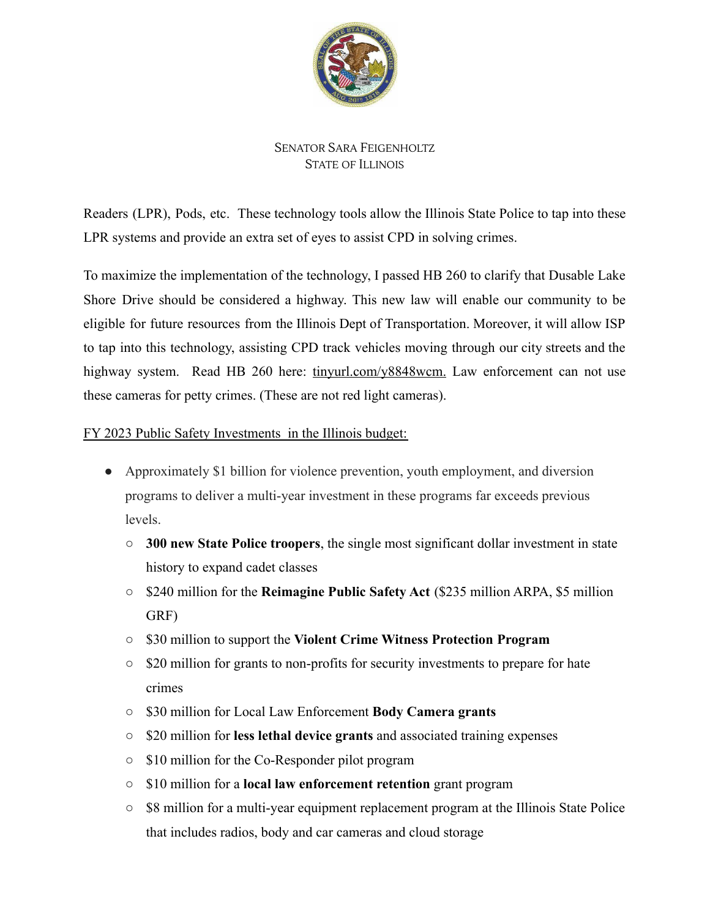

## SENATOR SARA FEIGENHOLTZ STATE OF ILLINOIS

Readers (LPR), Pods, etc. These technology tools allow the Illinois State Police to tap into these LPR systems and provide an extra set of eyes to assist CPD in solving crimes.

To maximize the implementation of the technology, I passed HB 260 to clarify that Dusable Lake Shore Drive should be considered a highway. This new law will enable our community to be eligible for future resources from the Illinois Dept of Transportation. Moreover, it will allow ISP to tap into this technology, assisting CPD track vehicles moving through our city streets and the highway system. Read HB 260 here: tinyurl.com/y8848wcm. Law enforcement can not use these cameras for petty crimes. (These are not red light cameras).

## FY 2023 Public Safety Investments in the Illinois budget:

- Approximately \$1 billion for violence prevention, youth employment, and diversion programs to deliver a multi-year investment in these programs far exceeds previous levels.
	- **300 new State Police troopers**, the single most significant dollar investment in state history to expand cadet classes
	- \$240 million for the **Reimagine Public Safety Act** (\$235 million ARPA, \$5 million GRF)
	- \$30 million to support the **Violent Crime Witness Protection Program**
	- \$20 million for grants to non-profits for security investments to prepare for hate crimes
	- \$30 million for Local Law Enforcement **Body Camera grants**
	- \$20 million for **less lethal device grants** and associated training expenses
	- \$10 million for the Co-Responder pilot program
	- \$10 million for a **local law enforcement retention** grant program
	- \$8 million for a multi-year equipment replacement program at the Illinois State Police that includes radios, body and car cameras and cloud storage